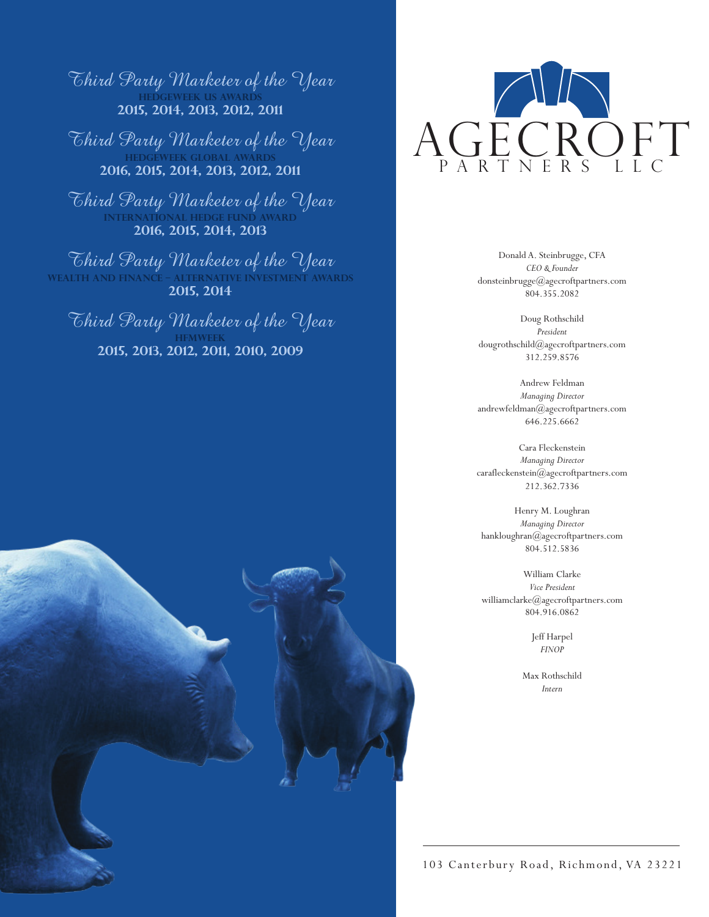Third Party Marketer of the Year **hedgeweek US AWARDS 2015, 2014, 2013, 2012, 2011**

Third Party Marketer of the Year **hedgeweek GLOBAL AWARDS 2016, 2015, 2014, 2013, 2012, 2011**

Third Party Marketer of the Year **International Hedge Fund Award 2016, 2015, 2014, 2013**

Third Party Marketer of the Year **Wealth and Finance – Alternative Investment Awards 2015, 2014**

Third Party Marketer of the Year **hFMweek 2015, 2013, 2012, 2011, 2010, 2009**





Donald A. Steinbrugge, CFA *CEO & Founder*  donsteinbrugge@agecroftpartners.com 804.355.2082

Doug Rothschild *President* dougrothschild@agecroftpartners.com 312.259.8576

Andrew Feldman *Managing Director* andrewfeldman@agecroftpartners.com 646.225.6662

Cara Fleckenstein *Managing Director* carafleckenstein@agecroftpartners.com 212.362.7336

Henry M. Loughran *Managing Director* hankloughran@agecroftpartners.com 804.512.5836

William Clarke *Vice President* williamclarke@agecroftpartners.com 804.916.0862

> Jeff Harpel *FINOP*

Max Rothschild *Intern*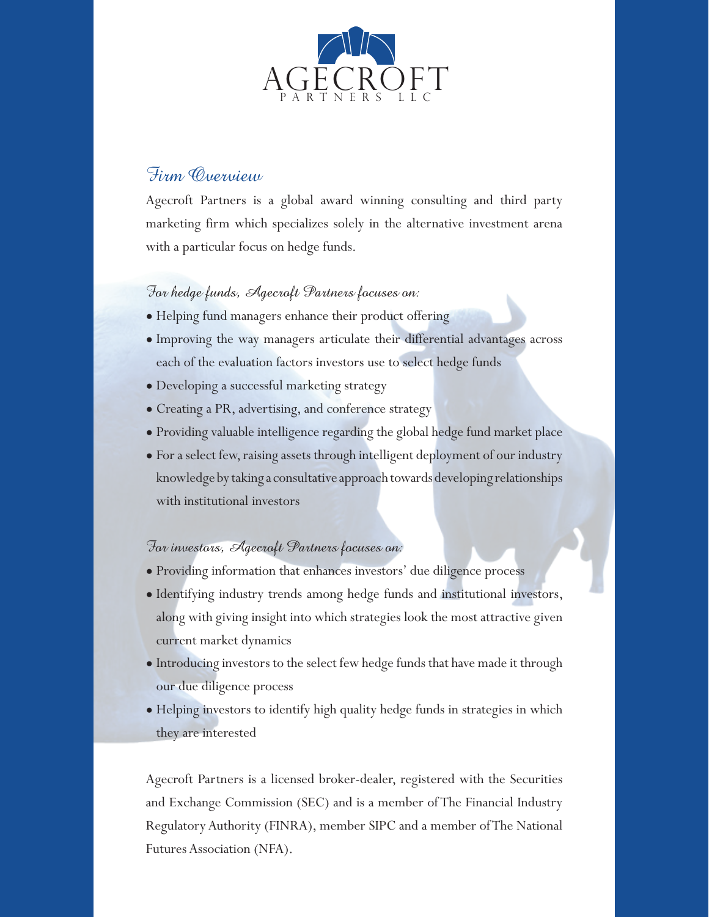

## Firm Overview

Agecroft Partners is a global award winning consulting and third party marketing firm which specializes solely in the alternative investment arena with a particular focus on hedge funds.

## For hedge funds, Agecroft Partners focuses on:

- Helping fund managers enhance their product offering
- Improving the way managers articulate their differential advantages across each of the evaluation factors investors use to select hedge funds
- Developing a successful marketing strategy
- Creating a PR, advertising, and conference strategy
- Providing valuable intelligence regarding the global hedge fund market place
- For a select few, raising assets through intelligent deployment of our industry knowledge by taking a consultative approach towards developing relationships with institutional investors

### For investors, Agecroft Partners focuses on:

- Providing information that enhances investors' due diligence process
- Identifying industry trends among hedge funds and institutional investors, along with giving insight into which strategies look the most attractive given current market dynamics
- Introducing investors to the select few hedge funds that have made it through our due diligence process
- Helping investors to identify high quality hedge funds in strategies in which they are interested

Agecroft Partners is a licensed broker-dealer, registered with the Securities and Exchange Commission (SEC) and is a member of The Financial Industry Regulatory Authority (FINRA), member SIPC and a member of The National Futures Association (NFA).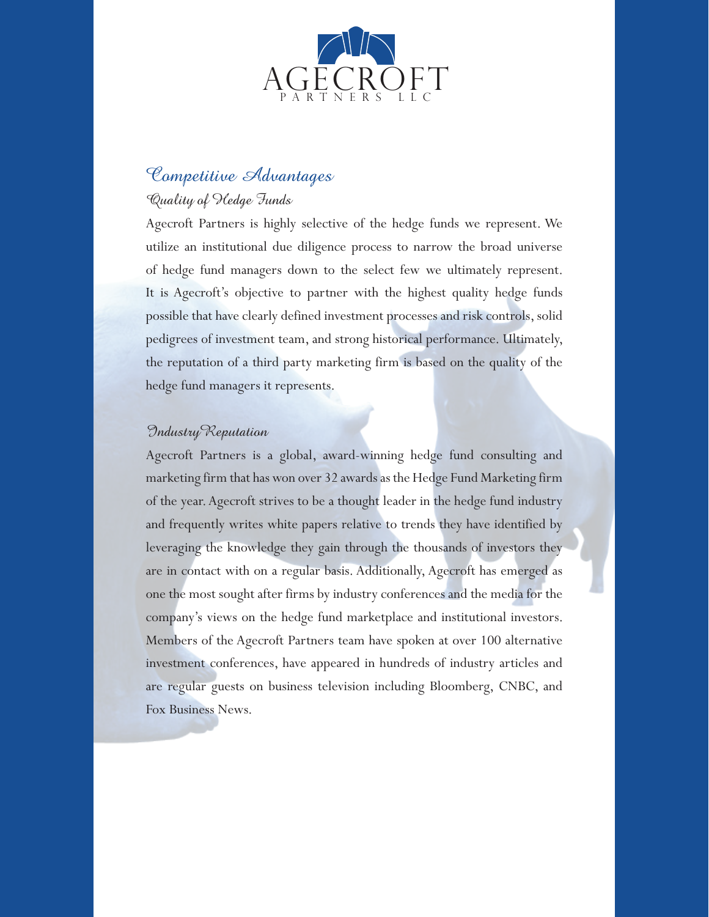

## Competitive Advantages Quality of Hedge Funds

Agecroft Partners is highly selective of the hedge funds we represent. We utilize an institutional due diligence process to narrow the broad universe of hedge fund managers down to the select few we ultimately represent. It is Agecroft's objective to partner with the highest quality hedge funds possible that have clearly defined investment processes and risk controls, solid pedigrees of investment team, and strong historical performance. Ultimately, the reputation of a third party marketing firm is based on the quality of the hedge fund managers it represents.

#### IndustryReputation

Agecroft Partners is a global, award-winning hedge fund consulting and marketing firm that has won over 32 awards as the Hedge Fund Marketing firm of the year. Agecroft strives to be a thought leader in the hedge fund industry and frequently writes white papers relative to trends they have identified by leveraging the knowledge they gain through the thousands of investors they are in contact with on a regular basis. Additionally, Agecroft has emerged as one the most sought after firms by industry conferences and the media for the company's views on the hedge fund marketplace and institutional investors. Members of the Agecroft Partners team have spoken at over 100 alternative investment conferences, have appeared in hundreds of industry articles and are regular guests on business television including Bloomberg, CNBC, and Fox Business News.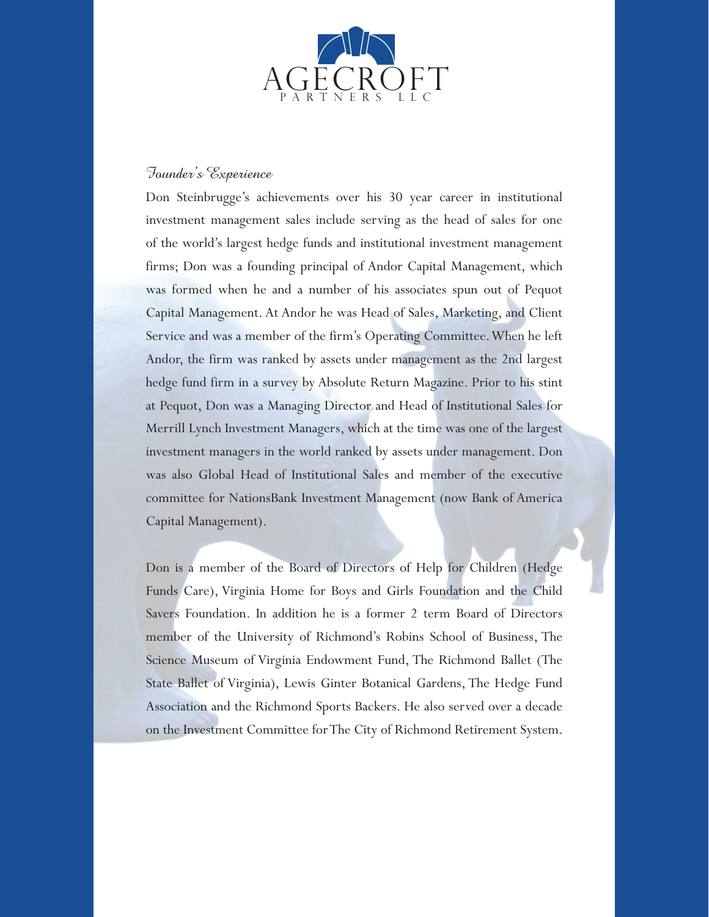

### Founder's Experience

Don Steinbrugge's achievements over his 30 year career in institutional investment management sales include serving as the head of sales for one of the world's largest hedge funds and institutional investment management firms; Don was a founding principal of Andor Capital Management, which was formed when he and a number of his associates spun out of Pequot Capital Management. At Andor he was Head of Sales, Marketing, and Client Service and was a member of the firm's Operating Committee. When he left Andor, the firm was ranked by assets under management as the 2nd largest hedge fund firm in a survey by Absolute Return Magazine. Prior to his stint at Pequot, Don was a Managing Director and Head of Institutional Sales for Merrill Lynch Investment Managers, which at the time was one of the largest investment managers in the world ranked by assets under management. Don was also Global Head of Institutional Sales and member of the executive committee for NationsBank Investment Management (now Bank of America Capital Management).

Don is a member of the Board of Directors of Help for Children (Hedge Funds Care), Virginia Home for Boys and Girls Foundation and the Child Savers Foundation. In addition he is a former 2 term Board of Directors member of the University of Richmond's Robins School of Business, The Science Museum of Virginia Endowment Fund, The Richmond Ballet (The State Ballet of Virginia), Lewis Ginter Botanical Gardens, The Hedge Fund Association and the Richmond Sports Backers. He also served over a decade on the Investment Committee for The City of Richmond Retirement System.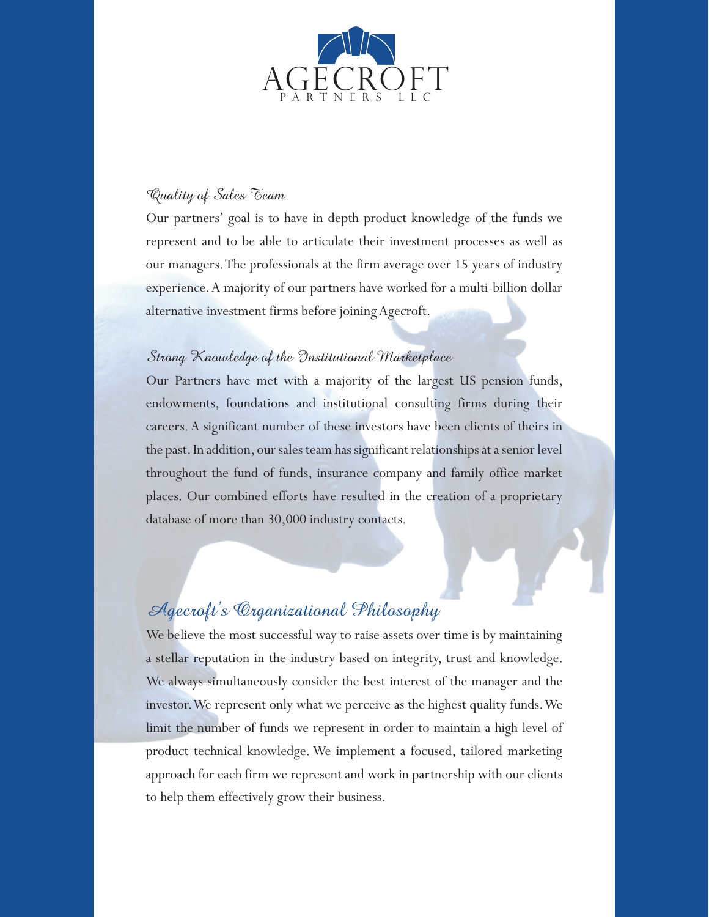

### Quality of Sales Team

Our partners' goal is to have in depth product knowledge of the funds we represent and to be able to articulate their investment processes as well as our managers. The professionals at the firm average over 15 years of industry experience. A majority of our partners have worked for a multi-billion dollar alternative investment firms before joining Agecroft.

### Strong Knowledge of the Institutional Marketplace

Our Partners have met with a majority of the largest US pension funds, endowments, foundations and institutional consulting firms during their careers. A significant number of these investors have been clients of theirs in the past. In addition, our sales team has significant relationships at a senior level throughout the fund of funds, insurance company and family office market places. Our combined efforts have resulted in the creation of a proprietary database of more than 30,000 industry contacts.

# Agecroft's Organizational Philosophy

We believe the most successful way to raise assets over time is by maintaining a stellar reputation in the industry based on integrity, trust and knowledge. We always simultaneously consider the best interest of the manager and the investor. We represent only what we perceive as the highest quality funds. We limit the number of funds we represent in order to maintain a high level of product technical knowledge. We implement a focused, tailored marketing approach for each firm we represent and work in partnership with our clients to help them effectively grow their business.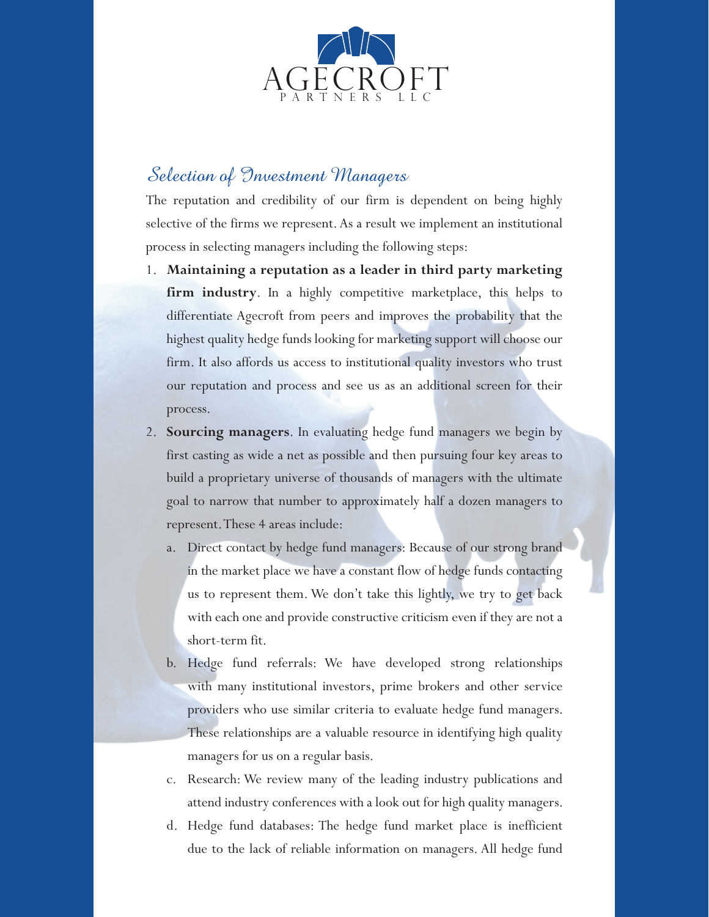

## Selection of Investment Managers

The reputation and credibility of our firm is dependent on being highly selective of the firms we represent. As a result we implement an institutional process in selecting managers including the following steps:

- 1. **Maintaining a reputation as a leader in third party marketing firm industry**. In a highly competitive marketplace, this helps to differentiate Agecroft from peers and improves the probability that the highest quality hedge funds looking for marketing support will choose our firm. It also affords us access to institutional quality investors who trust our reputation and process and see us as an additional screen for their process.
- 2. **Sourcing managers**. In evaluating hedge fund managers we begin by first casting as wide a net as possible and then pursuing four key areas to build a proprietary universe of thousands of managers with the ultimate goal to narrow that number to approximately half a dozen managers to represent. These 4 areas include:
	- a. Direct contact by hedge fund managers: Because of our strong brand in the market place we have a constant flow of hedge funds contacting us to represent them. We don't take this lightly, we try to get back with each one and provide constructive criticism even if they are not a short-term fit.
	- b. Hedge fund referrals: We have developed strong relationships with many institutional investors, prime brokers and other service providers who use similar criteria to evaluate hedge fund managers. These relationships are a valuable resource in identifying high quality managers for us on a regular basis.
	- c. Research: We review many of the leading industry publications and attend industry conferences with a look out for high quality managers.
	- d. Hedge fund databases: The hedge fund market place is inefficient due to the lack of reliable information on managers. All hedge fund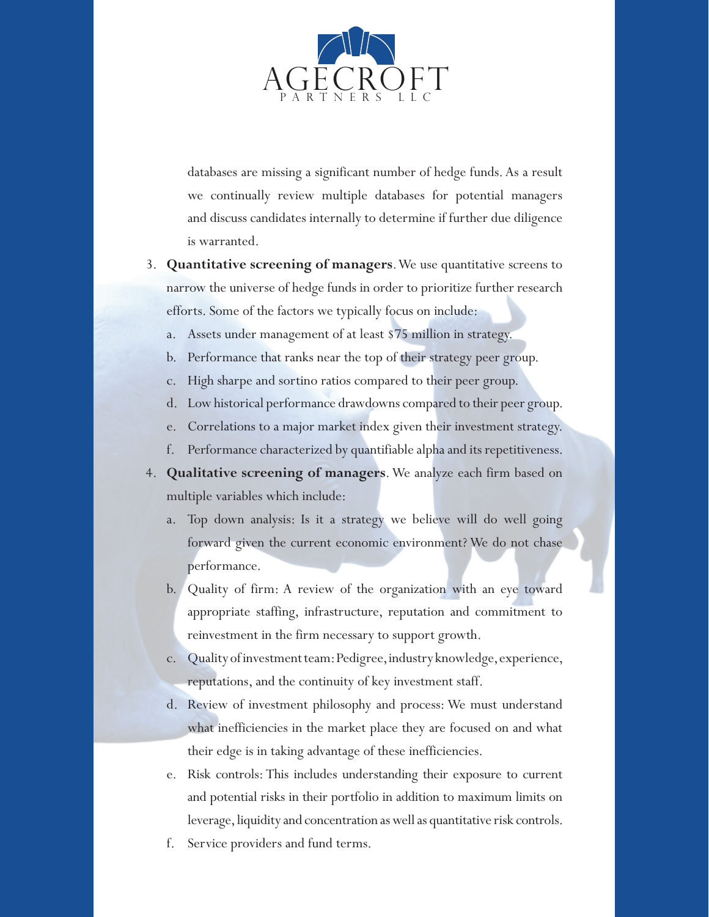

databases are missing a significant number of hedge funds. As a result we continually review multiple databases for potential managers and discuss candidates internally to determine if further due diligence is warranted.

- 3. **Quantitative screening of managers**. We use quantitative screens to narrow the universe of hedge funds in order to prioritize further research efforts. Some of the factors we typically focus on include:
	- Assets under management of at least \$75 million in strategy.
	- b. Performance that ranks near the top of their strategy peer group.
	- c. High sharpe and sortino ratios compared to their peer group.
	- d. Low historical performance drawdowns compared to their peer group.
	- e. Correlations to a major market index given their investment strategy.
	- f. Performance characterized by quantifiable alpha and its repetitiveness.
- 4. **Qualitative screening of managers**. We analyze each firm based on multiple variables which include:
	- a. Top down analysis: Is it a strategy we believe will do well going forward given the current economic environment? We do not chase performance.
	- b. Quality of firm: A review of the organization with an eye toward appropriate staffing, infrastructure, reputation and commitment to reinvestment in the firm necessary to support growth.
	- c. Quality of investment team: Pedigree, industry knowledge, experience, reputations, and the continuity of key investment staff.
	- d. Review of investment philosophy and process: We must understand what inefficiencies in the market place they are focused on and what their edge is in taking advantage of these inefficiencies.
	- e. Risk controls: This includes understanding their exposure to current and potential risks in their portfolio in addition to maximum limits on leverage, liquidity and concentration as well as quantitative risk controls.
	- f. Service providers and fund terms.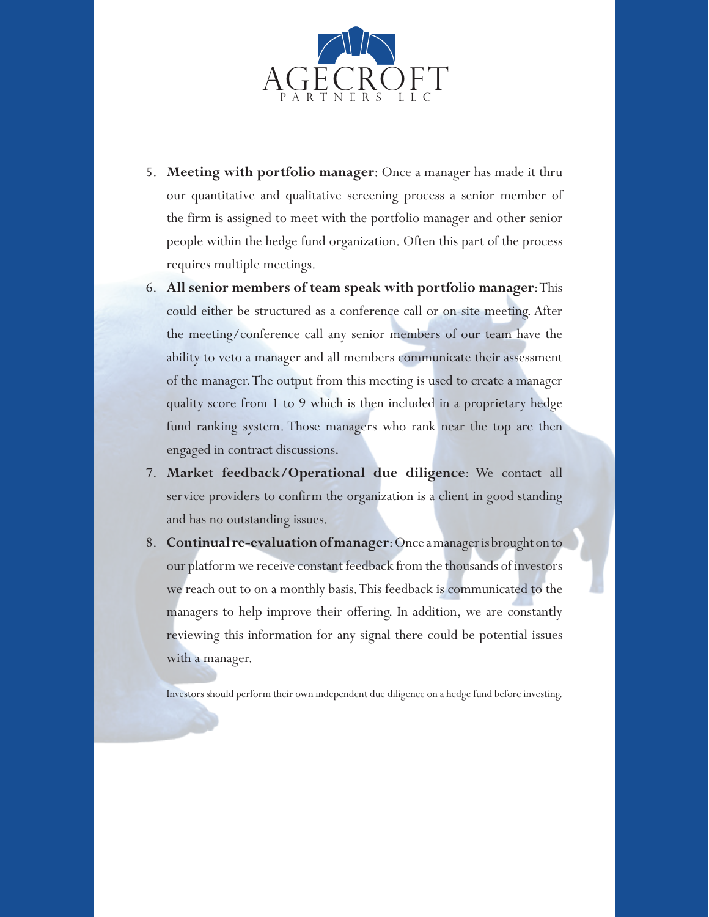

- 5. **Meeting with portfolio manager**: Once a manager has made it thru our quantitative and qualitative screening process a senior member of the firm is assigned to meet with the portfolio manager and other senior people within the hedge fund organization. Often this part of the process requires multiple meetings.
- 6. **All senior members of team speak with portfolio manager**: This could either be structured as a conference call or on-site meeting. After the meeting/conference call any senior members of our team have the ability to veto a manager and all members communicate their assessment of the manager. The output from this meeting is used to create a manager quality score from 1 to 9 which is then included in a proprietary hedge fund ranking system. Those managers who rank near the top are then engaged in contract discussions.
- 7. **Market feedback/Operational due diligence**: We contact all service providers to confirm the organization is a client in good standing and has no outstanding issues.
- 8. **Continual re-evaluation of manager**: Once a manager is brought on to our platform we receive constant feedback from the thousands of investors we reach out to on a monthly basis. This feedback is communicated to the managers to help improve their offering. In addition, we are constantly reviewing this information for any signal there could be potential issues with a manager.

Investors should perform their own independent due diligence on a hedge fund before investing.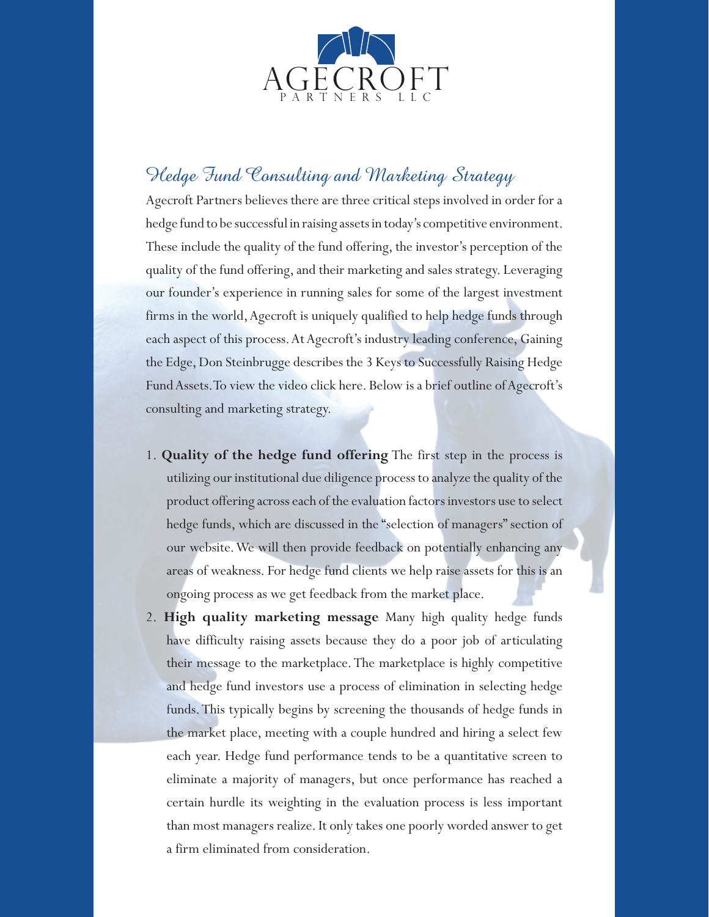

# Hedge Fund Consulting and Marketing Strategy

Agecroft Partners believes there are three critical steps involved in order for a hedge fund to be successful in raising assets in today's competitive environment. These include the quality of the fund offering, the investor's perception of the quality of the fund offering, and their marketing and sales strategy. Leveraging our founder's experience in running sales for some of the largest investment firms in the world, Agecroft is uniquely qualified to help hedge funds through each aspect of this process. At Agecroft's industry leading conference, Gaining the Edge, Don Steinbrugge describes the 3 Keys to Successfully Raising Hedge Fund Assets. To view the video click here. Below is a brief outline of Agecroft's consulting and marketing strategy.

- 1. **Quality of the hedge fund offering** The first step in the process is utilizing our institutional due diligence process to analyze the quality of the product offering across each of the evaluation factors investors use to select hedge funds, which are discussed in the "selection of managers" section of our website. We will then provide feedback on potentially enhancing any areas of weakness. For hedge fund clients we help raise assets for this is an ongoing process as we get feedback from the market place.
- 2. **High quality marketing message** Many high quality hedge funds have difficulty raising assets because they do a poor job of articulating their message to the marketplace. The marketplace is highly competitive and hedge fund investors use a process of elimination in selecting hedge funds. This typically begins by screening the thousands of hedge funds in the market place, meeting with a couple hundred and hiring a select few each year. Hedge fund performance tends to be a quantitative screen to eliminate a majority of managers, but once performance has reached a certain hurdle its weighting in the evaluation process is less important than most managers realize. It only takes one poorly worded answer to get a firm eliminated from consideration.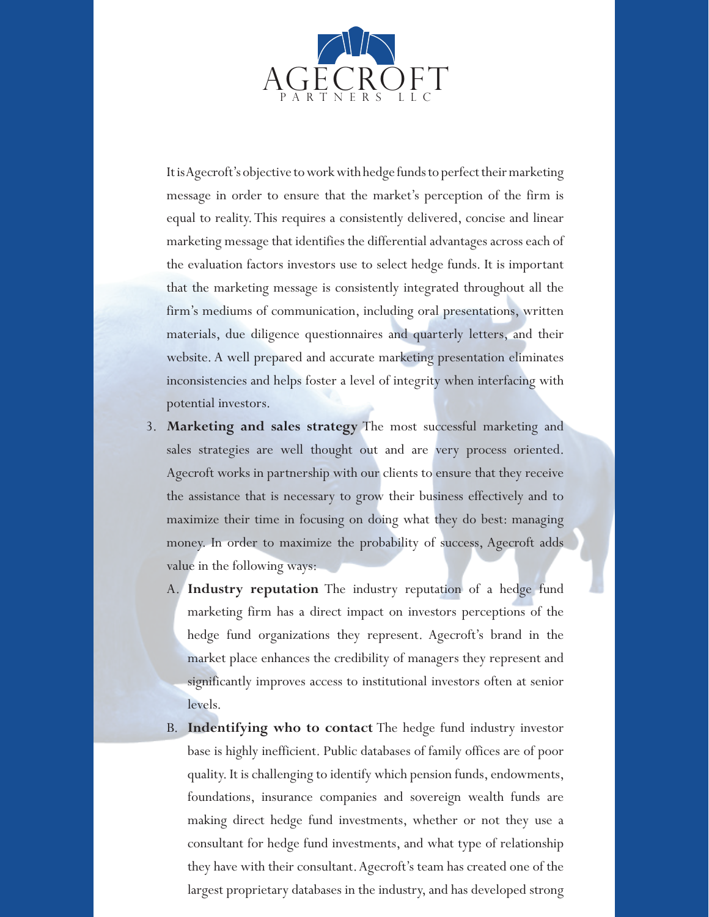

It is Agecroft's objective to work with hedge funds to perfect their marketing message in order to ensure that the market's perception of the firm is equal to reality. This requires a consistently delivered, concise and linear marketing message that identifies the differential advantages across each of the evaluation factors investors use to select hedge funds. It is important that the marketing message is consistently integrated throughout all the firm's mediums of communication, including oral presentations, written materials, due diligence questionnaires and quarterly letters, and their website. A well prepared and accurate marketing presentation eliminates inconsistencies and helps foster a level of integrity when interfacing with potential investors.

- 3. **Marketing and sales strategy** The most successful marketing and sales strategies are well thought out and are very process oriented. Agecroft works in partnership with our clients to ensure that they receive the assistance that is necessary to grow their business effectively and to maximize their time in focusing on doing what they do best: managing money. In order to maximize the probability of success, Agecroft adds value in the following ways:
	- A. **Industry reputation** The industry reputation of a hedge fund marketing firm has a direct impact on investors perceptions of the hedge fund organizations they represent. Agecroft's brand in the market place enhances the credibility of managers they represent and significantly improves access to institutional investors often at senior levels.
	- B. **Indentifying who to contact** The hedge fund industry investor base is highly inefficient. Public databases of family offices are of poor quality. It is challenging to identify which pension funds, endowments, foundations, insurance companies and sovereign wealth funds are making direct hedge fund investments, whether or not they use a consultant for hedge fund investments, and what type of relationship they have with their consultant. Agecroft's team has created one of the largest proprietary databases in the industry, and has developed strong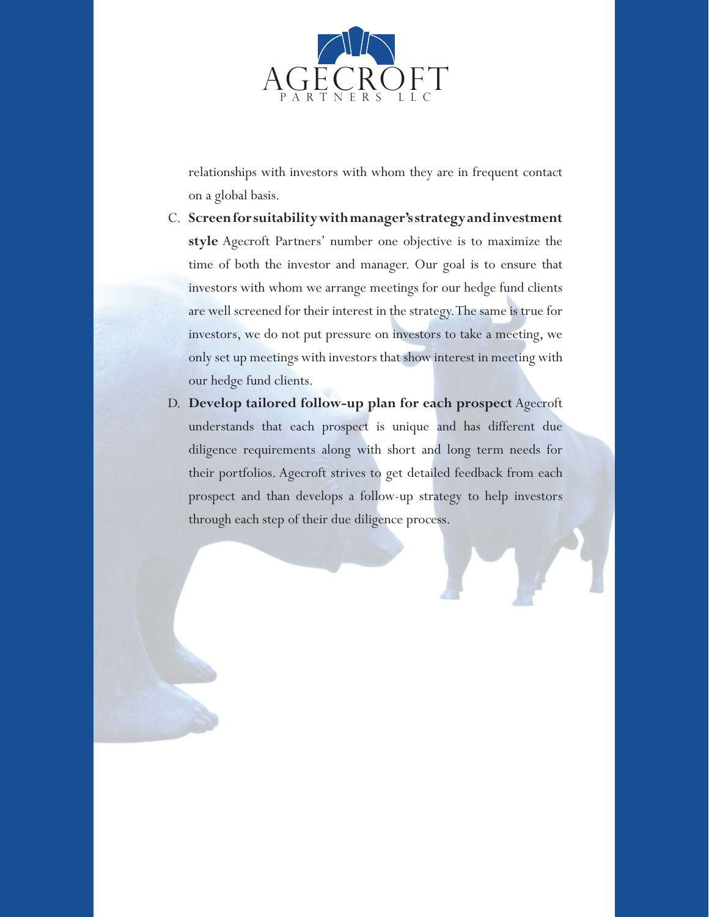

relationships with investors with whom they are in frequent contact on a global basis.

- C. **Screen for suitability with manager's strategy and investment style** Agecroft Partners' number one objective is to maximize the time of both the investor and manager. Our goal is to ensure that investors with whom we arrange meetings for our hedge fund clients are well screened for their interest in the strategy. The same is true for investors, we do not put pressure on investors to take a meeting, we only set up meetings with investors that show interest in meeting with our hedge fund clients.
- D. **Develop tailored follow-up plan for each prospect** Agecroft understands that each prospect is unique and has different due diligence requirements along with short and long term needs for their portfolios. Agecroft strives to get detailed feedback from each prospect and than develops a follow-up strategy to help investors through each step of their due diligence process.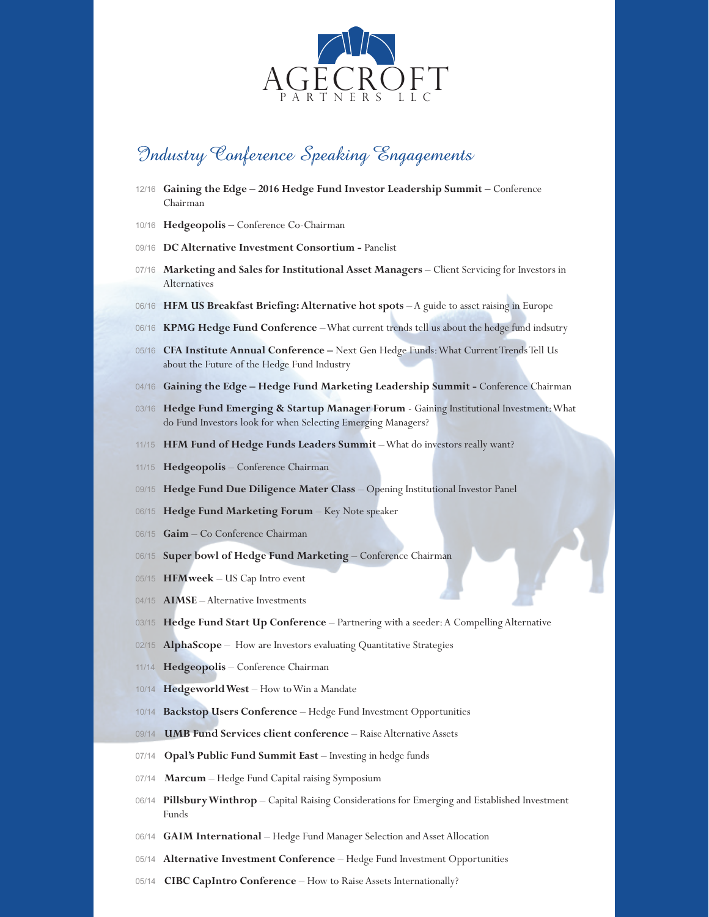

## Industry Conference Speaking Engagements

- 12/16 **Gaining the Edge 2016 Hedge Fund Investor Leadership Summit** Conference Chairman
- 10/16 **Hedgeopolis** Conference Co-Chairman
- 09/16 **DC Alternative Investment Consortium Panelist**
- 07/16 **Marketing and Sales for Institutional Asset Managers** Client Servicing for Investors in Alternatives
- 06/16 **HFM US Breakfast Briefing: Alternative hot spots** A guide to asset raising in Europe
- 06/16 **KPMG Hedge Fund Conference**  What current trends tell us about the hedge fund indsutry
- 05/16 **CFA Institute Annual Conference** Next Gen Hedge Funds: What Current Trends Tell Us about the Future of the Hedge Fund Industry
- 04/16 **Gaining the Edge Hedge Fund Marketing Leadership Summit** Conference Chairman
- 03/16 **Hedge Fund Emerging & Startup Manager Forum** Gaining Institutional Investment: What do Fund Investors look for when Selecting Emerging Managers?
- 11/15 **HFM Fund of Hedge Funds Leaders Summit**  What do investors really want?
- 11/15 **Hedgeopolis** Conference Chairman
- 09/15 **Hedge Fund Due Diligence Mater Class** Opening Institutional Investor Panel
- 06/15 **Hedge Fund Marketing Forum** Key Note speaker
- 06/15 **Gaim** Co Conference Chairman
- 06/15 **Super bowl of Hedge Fund Marketing** Conference Chairman
- 05/15 **HFMweek** US Cap Intro event
- 04/15 **AIMSE** Alternative Investments
- 03/15 **Hedge Fund Start Up Conference** Partnering with a seeder: A Compelling Alternative
- 02/15 **AlphaScope** How are Investors evaluating Quantitative Strategies
- 11/14 **Hedgeopolis** Conference Chairman
- 10/14 **Hedgeworld West** How to Win a Mandate
- 10/14 **Backstop Users Conference** Hedge Fund Investment Opportunities
- 09/14 **UMB Fund Services client conference** Raise Alternative Assets
- 07/14 **Opal's Public Fund Summit East** Investing in hedge funds
- 07/14 **Marcum** Hedge Fund Capital raising Symposium
- 06/14 **Pillsbury Winthrop** Capital Raising Considerations for Emerging and Established Investment Funds
- 06/14 **GAIM International** Hedge Fund Manager Selection and Asset Allocation
- 05/14 **Alternative Investment Conference** Hedge Fund Investment Opportunities
- 05/14 **CIBC CapIntro Conference** How to Raise Assets Internationally?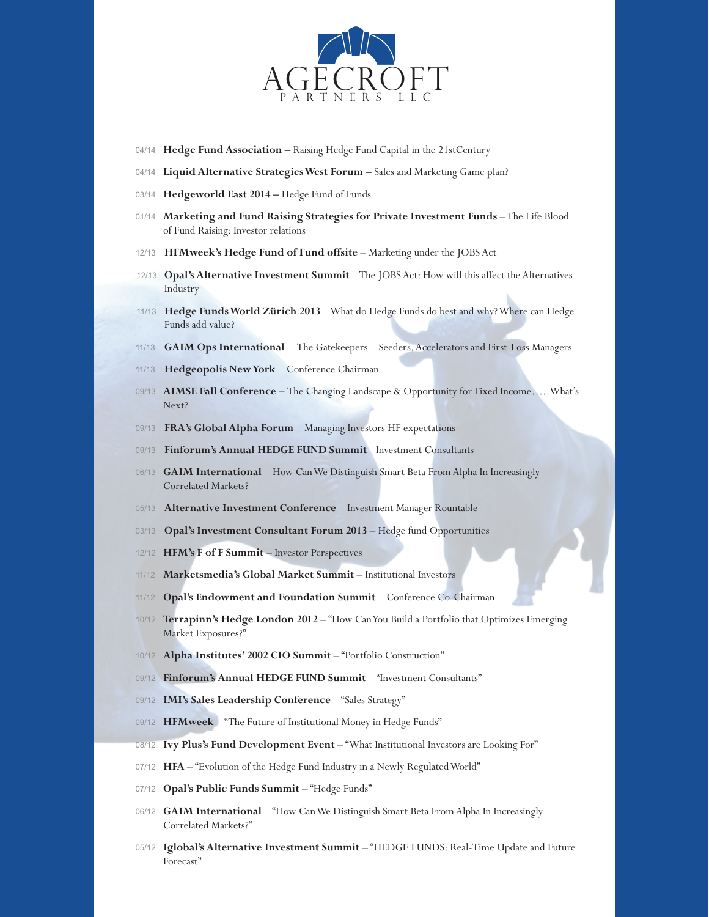

- 04/14 **Hedge Fund Association** Raising Hedge Fund Capital in the 21stCentury
- 04/14 **Liquid Alternative Strategies West Forum** Sales and Marketing Game plan?
- 03/14 **Hedgeworld East 2014** Hedge Fund of Funds
- 01/14 **Marketing and Fund Raising Strategies for Private Investment Funds** The Life Blood of Fund Raising: Investor relations
- 12/13 **HFMweek's Hedge Fund of Fund offsite**  Marketing under the JOBS Act
- 12/13 **Opal's Alternative Investment Summit**  The JOBS Act: How will this affect the Alternatives Industry
- 11/13 **Hedge Funds World Zürich 2013**  What do Hedge Funds do best and why? Where can Hedge Funds add value?
- 11/13 **GAIM Ops International**  The Gatekeepers Seeders, Accelerators and First-Loss Managers
- 11/13 **Hedgeopolis New York** Conference Chairman
- 09/13 **AIMSE Fall Conference** The Changing Landscape & Opportunity for Fixed Income…..What's Next?
- 09/13 **FRA's Global Alpha Forum** Managing Investors HF expectations
- 09/13 **Finforum's Annual HEDGE FUND Summit** Investment Consultants
- 06/13 **GAIM International** How Can We Distinguish Smart Beta From Alpha In Increasingly Correlated Markets?
- 05/13 **Alternative Investment Conference** Investment Manager Rountable
- 03/13 **Opal's Investment Consultant Forum 2013** Hedge fund Opportunities
- 12/12 **HFM's F of F Summit**  Investor Perspectives
- 11/12 **Marketsmedia's Global Market Summit** Institutional Investors
- 11/12 **Opal's Endowment and Foundation Summit** Conference Co-Chairman
- 10/12 **Terrapinn's Hedge London 2012** "How Can You Build a Portfolio that Optimizes Emerging Market Exposures?"
- 10/12 **Alpha Institutes' 2002 CIO Summit** "Portfolio Construction"
- 09/12 **Finforum's Annual HEDGE FUND Summit** "Investment Consultants"
- 09/12 **IMI's Sales Leadership Conference** "Sales Strategy"
- 09/12 **HFMweek** "The Future of Institutional Money in Hedge Funds"
- 08/12 **Ivy Plus's Fund Development Event** "What Institutional Investors are Looking For"
- 07/12 **HFA** "Evolution of the Hedge Fund Industry in a Newly Regulated World"
- 07/12 Opal's Public Funds Summit "Hedge Funds"
- 06/12 **GAIM International** "How Can We Distinguish Smart Beta From Alpha In Increasingly Correlated Markets?"
- 05/12 **Iglobal's Alternative Investment Summit** "HEDGE FUNDS: Real-Time Update and Future Forecast"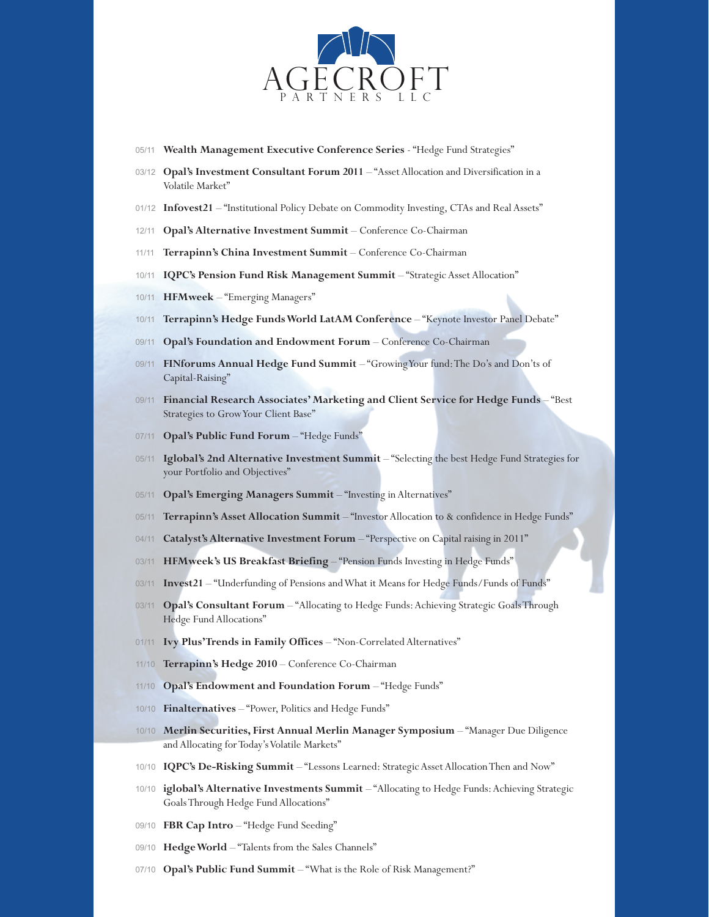

- 05/11 **Wealth Management Executive Conference Series** "Hedge Fund Strategies"
- 03/12 **Opal's Investment Consultant Forum 2011** "Asset Allocation and Diversification in a Volatile Market"
- 01/12 **Infovest21** "Institutional Policy Debate on Commodity Investing, CTAs and Real Assets"
- 12/11 **Opal's Alternative Investment Summit** Conference Co-Chairman
- 11/11 **Terrapinn's China Investment Summit** Conference Co-Chairman
- 10/11 **IQPC's Pension Fund Risk Management Summit** "Strategic Asset Allocation"
- 10/11 **HFMweek** "Emerging Managers"
- 10/11 **Terrapinn's Hedge Funds World LatAM Conference** "Keynote Investor Panel Debate"
- 09/11 **Opal's Foundation and Endowment Forum** Conference Co-Chairman
- 09/11 **FINforums Annual Hedge Fund Summit** "Growing Your fund: The Do's and Don'ts of Capital-Raising"
- 09/11 **Financial Research Associates' Marketing and Client Service for Hedge Funds** "Best Strategies to Grow Your Client Base"
- 07/11 **Opal's Public Fund Forum** "Hedge Funds"
- 05/11 **Iglobal's 2nd Alternative Investment Summit** "Selecting the best Hedge Fund Strategies for your Portfolio and Objectives"
- 05/11 **Opal's Emerging Managers Summit** "Investing in Alternatives"
- 05/11 **Terrapinn's Asset Allocation Summit** "Investor Allocation to & confidence in Hedge Funds"
- 04/11 **Catalyst's Alternative Investment Forum** "Perspective on Capital raising in 2011"
- 03/11 **HFMweek's US Breakfast Briefing** "Pension Funds Investing in Hedge Funds"
- 03/11 **Invest21** "Underfunding of Pensions and What it Means for Hedge Funds/Funds of Funds"
- 03/11 **Opal's Consultant Forum** "Allocating to Hedge Funds: Achieving Strategic Goals Through Hedge Fund Allocations"
- 01/11 **Ivy Plus' Trends in Family Offices "Non-Correlated Alternatives"**
- 11/10 **Terrapinn's Hedge 2010** Conference Co-Chairman
- 11/10 **Opal's Endowment and Foundation Forum** "Hedge Funds"
- 10/10 **Finalternatives** "Power, Politics and Hedge Funds"
- 10/10 **Merlin Securities, First Annual Merlin Manager Symposium** "Manager Due Diligence and Allocating for Today's Volatile Markets"
- 10/10 **IQPC's De-Risking Summit** "Lessons Learned: Strategic Asset Allocation Then and Now"
- 10/10 **iglobal's Alternative Investments Summit** "Allocating to Hedge Funds: Achieving Strategic Goals Through Hedge Fund Allocations"
- 09/10 **FBR Cap Intro** "Hedge Fund Seeding"
- 09/10 Hedge World "Talents from the Sales Channels"
- 07/10 **Opal's Public Fund Summit** "What is the Role of Risk Management?"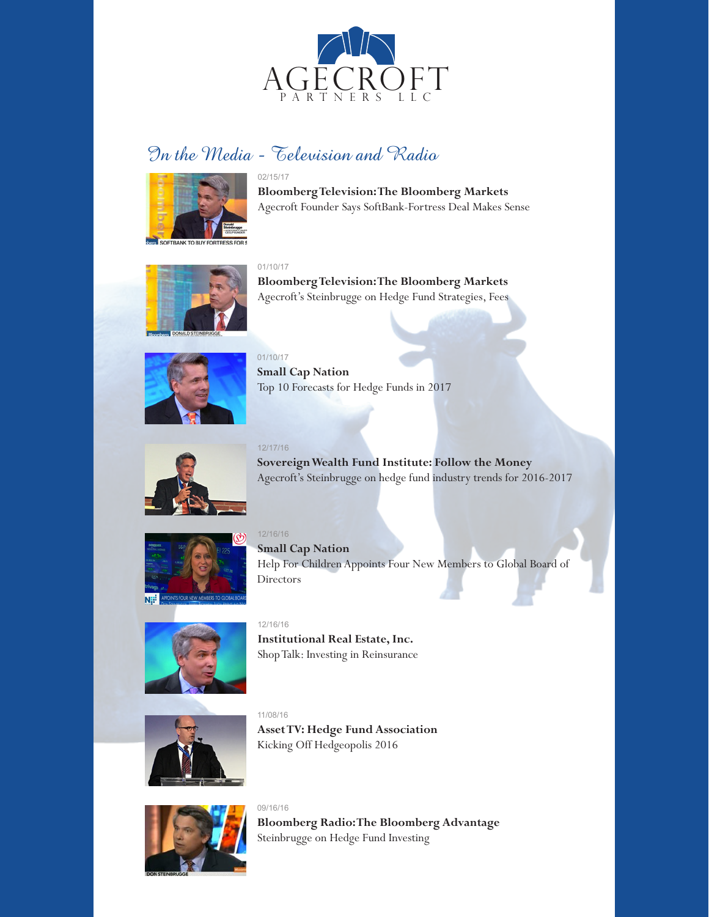

# In the Media - Television and Radio



02/15/17 **Bloomberg Television: The Bloomberg Markets** Agecroft Founder Says SoftBank-Fortress Deal Makes Sense



01/10/17

**Bloomberg Television: The Bloomberg Markets** Agecroft's Steinbrugge on Hedge Fund Strategies, Fees



01/10/17 **Small Cap Nation** Top 10 Forecasts for Hedge Funds in 2017



12/17/16 **Sovereign Wealth Fund Institute: Follow the Money** Agecroft's Steinbrugge on hedge fund industry trends for 2016-2017



12/16/16 **Small Cap Nation** Help For Children Appoints Four New Members to Global Board of Directors



12/16/16 **Institutional Real Estate, Inc.** Shop Talk: Investing in Reinsurance



11/08/16 **Asset TV: Hedge Fund Association** Kicking Off Hedgeopolis 2016



09/16/16 **Bloomberg Radio: The Bloomberg Advantage** Steinbrugge on Hedge Fund Investing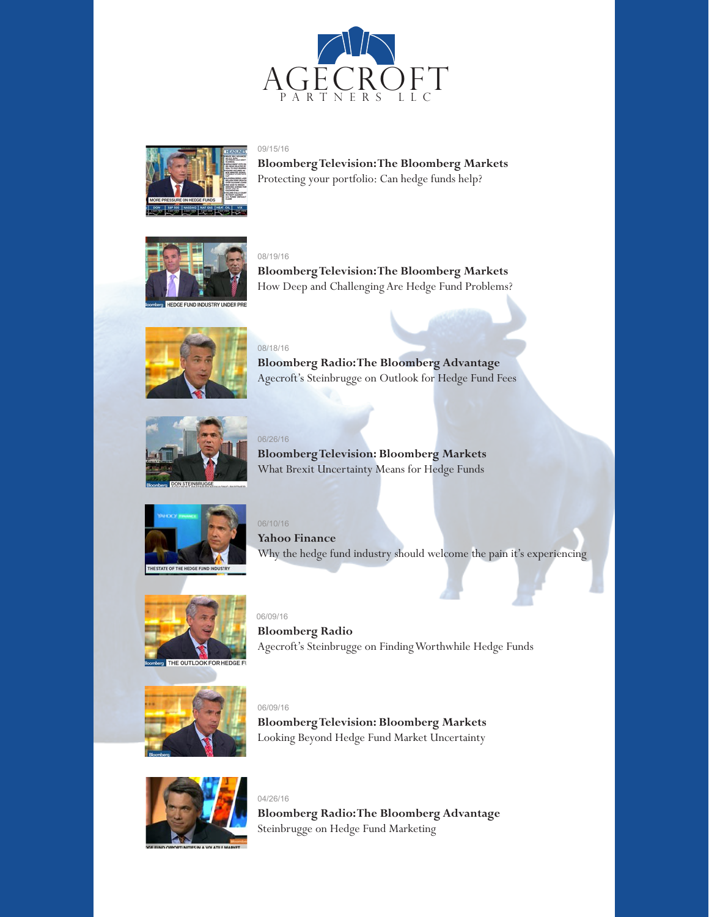



09/15/16 **Bloomberg Television: The Bloomberg Markets**  Protecting your portfolio: Can hedge funds help?



#### 08/19/16

08/18/16

**Bloomberg Television: The Bloomberg Markets**  How Deep and Challenging Are Hedge Fund Problems?



**Bloomberg Radio: The Bloomberg Advantage** Agecroft's Steinbrugge on Outlook for Hedge Fund Fees



06/26/16 **Bloomberg Television: Bloomberg Markets** What Brexit Uncertainty Means for Hedge Funds



06/10/16 **Yahoo Finance** Why the hedge fund industry should welcome the pain it's experiencing



06/09/16 **Bloomberg Radio**  Agecroft's Steinbrugge on Finding Worthwhile Hedge Funds



06/09/16

04/26/16

**Bloomberg Television: Bloomberg Markets** Looking Beyond Hedge Fund Market Uncertainty



**Bloomberg Radio: The Bloomberg Advantage** Steinbrugge on Hedge Fund Marketing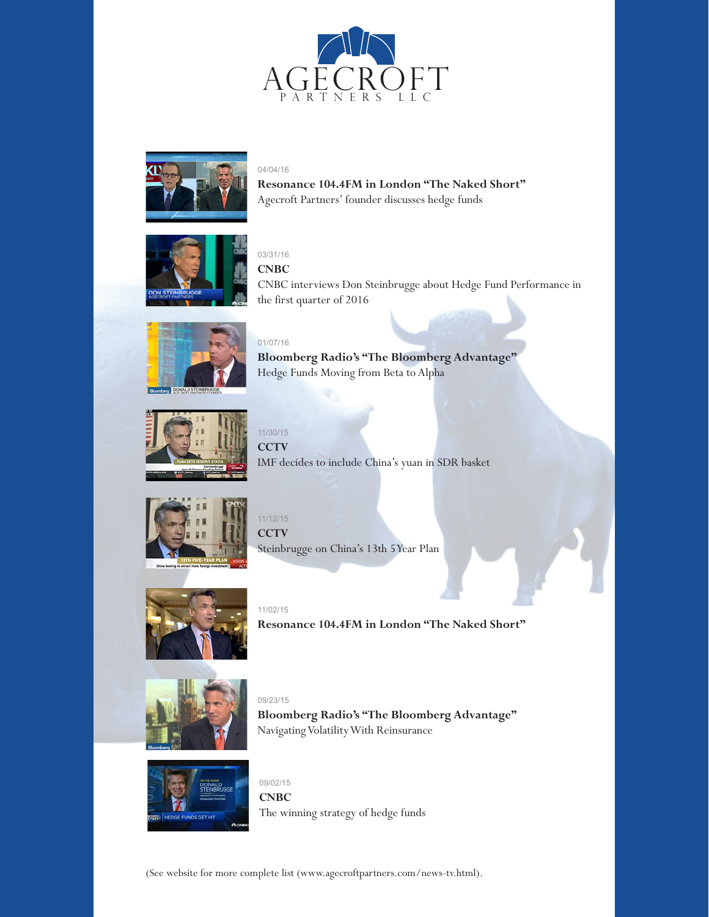



04/04/16

**Resonance 104.4FM in London "The Naked Short"** Agecroft Partners' founder discusses hedge funds



#### 03/31/16 **CNBC**

CNBC interviews Don Steinbrugge about Hedge Fund Performance in the first quarter of 2016



01/07/16 **Bloomberg Radio's "The Bloomberg Advantage"**  Hedge Funds Moving from Beta to Alpha



11/30/15 **CCTV** IMF decides to include China's yuan in SDR basket



11/12/15 **CCTV** Steinbrugge on China's 13th 5 Year Plan



11/02/15 **Resonance 104.4FM in London "The Naked Short"** 



09/23/15 **Bloomberg Radio's "The Bloomberg Advantage"**  Navigating Volatility With Reinsurance



09/02/15 **CNBC** The winning strategy of hedge funds

(See website for more complete list (www.agecroftpartners.com/news-tv.html).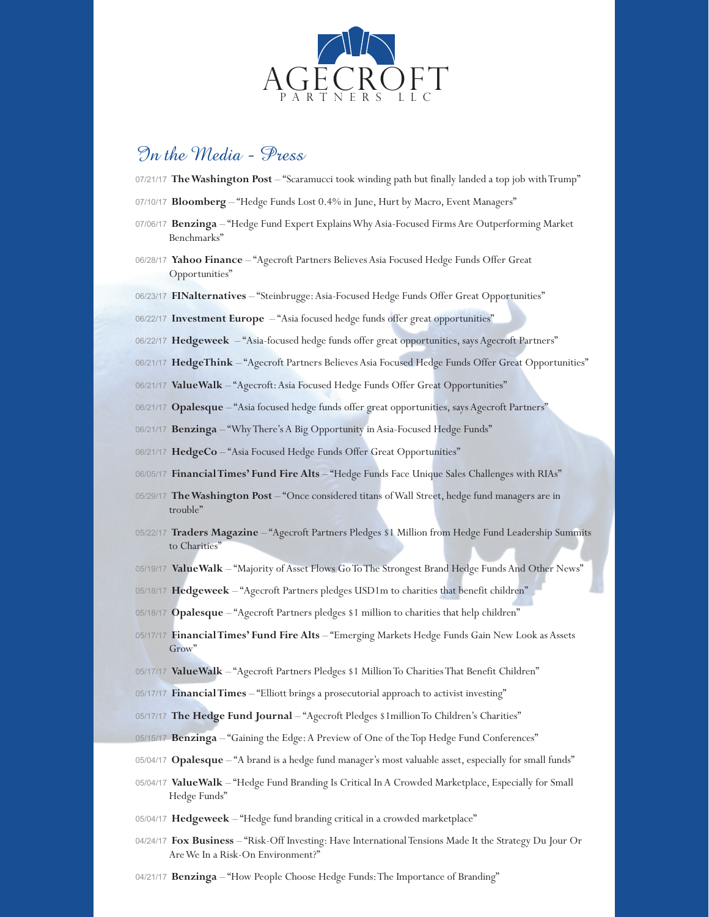

## In the Media - Press

07/21/17 **The Washington Post** – "Scaramucci took winding path but finally landed a top job with Trump"

- 07/10/17 **Bloomberg** "Hedge Funds Lost 0.4% in June, Hurt by Macro, Event Managers"
- 07/06/17 **Benzinga** "Hedge Fund Expert Explains Why Asia-Focused Firms Are Outperforming Market Benchmarks"
- 06/28/17 **Yahoo Finance** "Agecroft Partners Believes Asia Focused Hedge Funds Offer Great Opportunities"
- 06/23/17 **FINalternatives** "Steinbrugge: Asia-Focused Hedge Funds Offer Great Opportunities"
- 06/22/17 **Investment Europe** "Asia focused hedge funds offer great opportunities"
- 06/22/17 Hedgeweek "Asia-focused hedge funds offer great opportunities, says Agecroft Partners"
- 06/21/17 **HedgeThink** "Agecroft Partners Believes Asia Focused Hedge Funds Offer Great Opportunities"
- 06/21/17 ValueWalk "Agecroft: Asia Focused Hedge Funds Offer Great Opportunities"
- 06/21/17 **Opalesque** "Asia focused hedge funds offer great opportunities, says Agecroft Partners"
- 06/21/17 **Benzinga** "Why There's A Big Opportunity in Asia-Focused Hedge Funds"
- 06/21/17 HedgeCo "Asia Focused Hedge Funds Offer Great Opportunities"
- 06/05/17 **Financial Times' Fund Fire Alts** "Hedge Funds Face Unique Sales Challenges with RIAs"
- 05/29/17 **The Washington Post** "Once considered titans of Wall Street, hedge fund managers are in trouble"
- 05/22/17 **Traders Magazine** "Agecroft Partners Pledges \$1 Million from Hedge Fund Leadership Summits to Charities<sup>"</sup>
- 05/19/17 ValueWalk "Majority of Asset Flows Go To The Strongest Brand Hedge Funds And Other News"
- 05/18/17 Hedgeweek "Agecroft Partners pledges USD1m to charities that benefit children"
- 05/18/17 **Opalesque** "Agecroft Partners pledges \$1 million to charities that help children"
- 05/17/17 **Financial Times' Fund Fire Alts** "Emerging Markets Hedge Funds Gain New Look as Assets Grow'
- 05/17/17 **ValueWalk** "Agecroft Partners Pledges \$1 Million To Charities That Benefit Children"
- 05/17/17 **Financial Times** "Elliott brings a prosecutorial approach to activist investing"
- 05/17/17 The Hedge Fund Journal "Agecroft Pledges \$1million To Children's Charities"
- 05/15/17 **Benzinga** "Gaining the Edge: A Preview of One of the Top Hedge Fund Conferences"
- 05/04/17 **Opalesque** "A brand is a hedge fund manager's most valuable asset, especially for small funds"
- 05/04/17 ValueWalk "Hedge Fund Branding Is Critical In A Crowded Marketplace, Especially for Small Hedge Funds"
- 05/04/17 **Hedgeweek** "Hedge fund branding critical in a crowded marketplace"
- 04/24/17 **Fox Business** "Risk-Off Investing: Have International Tensions Made It the Strategy Du Jour Or Are We In a Risk-On Environment?"
- 04/21/17 **Benzinga** "How People Choose Hedge Funds: The Importance of Branding"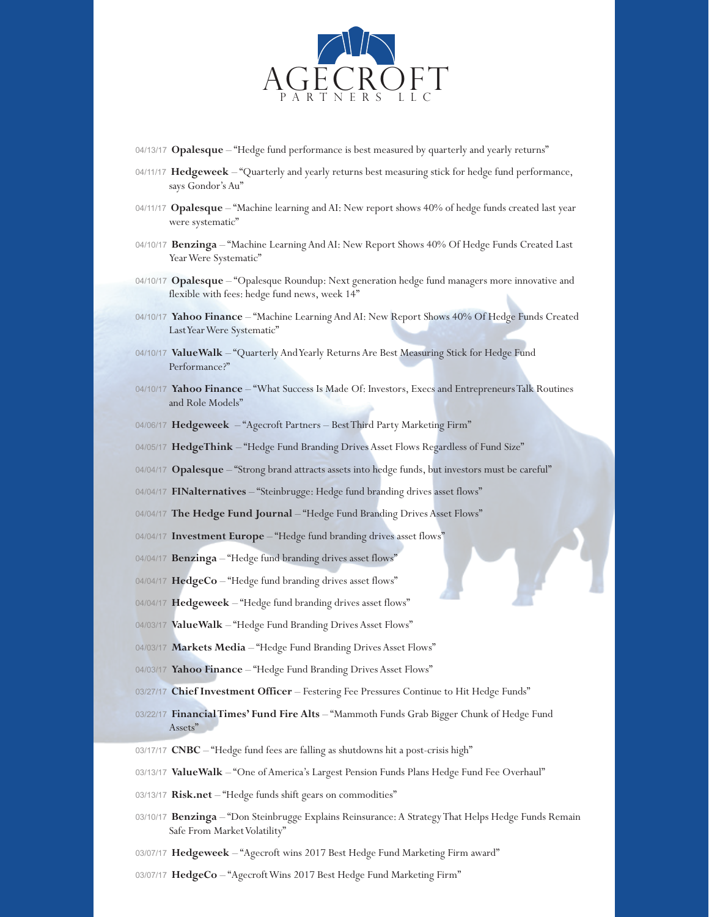

04/13/17 **Opalesque** – "Hedge fund performance is best measured by quarterly and yearly returns"

- 04/11/17 Hedgeweek "Quarterly and yearly returns best measuring stick for hedge fund performance, says Gondor's Au"
- 04/11/17 **Opalesque** "Machine learning and AI: New report shows 40% of hedge funds created last year were systematic"
- 04/10/17 **Benzinga** "Machine Learning And AI: New Report Shows 40% Of Hedge Funds Created Last Year Were Systematic"
- 04/10/17 **Opalesque** "Opalesque Roundup: Next generation hedge fund managers more innovative and flexible with fees: hedge fund news, week 14"
- 04/10/17 Yahoo Finance "Machine Learning And AI: New Report Shows 40% Of Hedge Funds Created Last Year Were Systematic"
- 04/10/17 **ValueWalk** "Quarterly And Yearly Returns Are Best Measuring Stick for Hedge Fund Performance?"
- 04/10/17 Yahoo Finance "What Success Is Made Of: Investors, Execs and Entrepreneurs Talk Routines and Role Models"
- 04/06/17 Hedgeweek "Agecroft Partners Best Third Party Marketing Firm"
- 04/05/17 HedgeThink "Hedge Fund Branding Drives Asset Flows Regardless of Fund Size"
- 04/04/17 **Opalesque** "Strong brand attracts assets into hedge funds, but investors must be careful"
- 04/04/17 **FINalternatives** "Steinbrugge: Hedge fund branding drives asset flows"
- 04/04/17 The Hedge Fund Journal "Hedge Fund Branding Drives Asset Flows"
- 04/04/17 **Investment Europe** "Hedge fund branding drives asset flows"
- 04/04/17 **Benzinga** "Hedge fund branding drives asset flows"
- 04/04/17 HedgeCo "Hedge fund branding drives asset flows"
- 04/04/17 Hedgeweek "Hedge fund branding drives asset flows"
- 04/03/17 ValueWalk "Hedge Fund Branding Drives Asset Flows"
- 04/03/17 Markets Media "Hedge Fund Branding Drives Asset Flows"
- 04/03/17 Yahoo Finance "Hedge Fund Branding Drives Asset Flows"
- 03/27/17 **Chief Investment Officer** Festering Fee Pressures Continue to Hit Hedge Funds"
- 03/22/17 **Financial Times' Fund Fire Alts** "Mammoth Funds Grab Bigger Chunk of Hedge Fund Assets"
- 03/17/17 **CNBC** "Hedge fund fees are falling as shutdowns hit a post-crisis high"
- 03/13/17 **ValueWalk** "One of America's Largest Pension Funds Plans Hedge Fund Fee Overhaul"
- 03/13/17 Risk.net "Hedge funds shift gears on commodities"
- 03/10/17 **Benzinga** "Don Steinbrugge Explains Reinsurance: A Strategy That Helps Hedge Funds Remain Safe From Market Volatility"
- 03/07/17 Hedgeweek "Agecroft wins 2017 Best Hedge Fund Marketing Firm award"
- 03/07/17 HedgeCo "Agecroft Wins 2017 Best Hedge Fund Marketing Firm"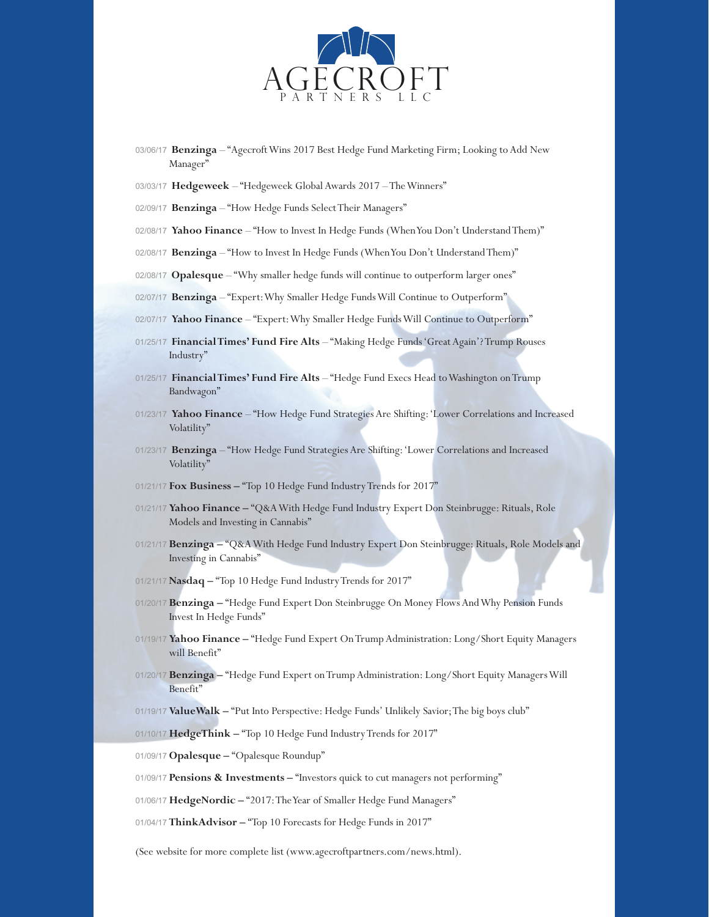

- 03/06/17 **Benzinga** "Agecroft Wins 2017 Best Hedge Fund Marketing Firm; Looking to Add New Manager"
- 03/03/17 **Hedgeweek** "Hedgeweek Global Awards 2017 The Winners"
- 02/09/17 **Benzinga** "How Hedge Funds Select Their Managers"
- 02/08/17 Yahoo Finance "How to Invest In Hedge Funds (When You Don't Understand Them)"
- 02/08/17 **Benzinga** "How to Invest In Hedge Funds (When You Don't Understand Them)"
- 02/08/17 Opalesque "Why smaller hedge funds will continue to outperform larger ones"
- 02/07/17 **Benzinga** "Expert: Why Smaller Hedge Funds Will Continue to Outperform"
- 02/07/17 **Yahoo Finance** "Expert: Why Smaller Hedge Funds Will Continue to Outperform"
- 01/25/17 **Financial Times' Fund Fire Alts** "Making Hedge Funds 'Great Again'? Trump Rouses Industry"
- 01/25/17 **Financial Times' Fund Fire Alts** "Hedge Fund Execs Head to Washington on Trump Bandwagon"
- 01/23/17 **Yahoo Finance** "How Hedge Fund Strategies Are Shifting: 'Lower Correlations and Increased Volatility"
- 01/23/17 **Benzinga** "How Hedge Fund Strategies Are Shifting: 'Lower Correlations and Increased Volatility'
- 01/21/17 **Fox Business** "Top 10 Hedge Fund Industry Trends for 2017"
- 01/21/17 **Yahoo Finance** "Q&A With Hedge Fund Industry Expert Don Steinbrugge: Rituals, Role Models and Investing in Cannabis"
- 01/21/17 **Benzinga** "Q&A With Hedge Fund Industry Expert Don Steinbrugge: Rituals, Role Models and Investing in Cannabis"
- 01/21/17 **Nasdaq** "Top 10 Hedge Fund Industry Trends for 2017"
- 01/20/17 **Benzinga** "Hedge Fund Expert Don Steinbrugge On Money Flows And Why Pension Funds Invest In Hedge Funds"
- 01/19/17 **Yahoo Finance** "Hedge Fund Expert On Trump Administration: Long/Short Equity Managers will Benefit"
- 01/20/17 **Benzinga** "Hedge Fund Expert on Trump Administration: Long/Short Equity Managers Will Benefit"
- 01/19/17 **ValueWalk** "Put Into Perspective: Hedge Funds' Unlikely Savior; The big boys club"

01/10/17 HedgeThink - "Top 10 Hedge Fund Industry Trends for 2017"

01/09/17 **Opalesque –** "Opalesque Roundup"

01/09/17 **Pensions & Investments –** "Investors quick to cut managers not performing"

- 01/06/17 **HedgeNordic** "2017: The Year of Smaller Hedge Fund Managers"
- 01/04/17 **ThinkAdvisor** "Top 10 Forecasts for Hedge Funds in 2017"

(See website for more complete list (www.agecroftpartners.com/news.html).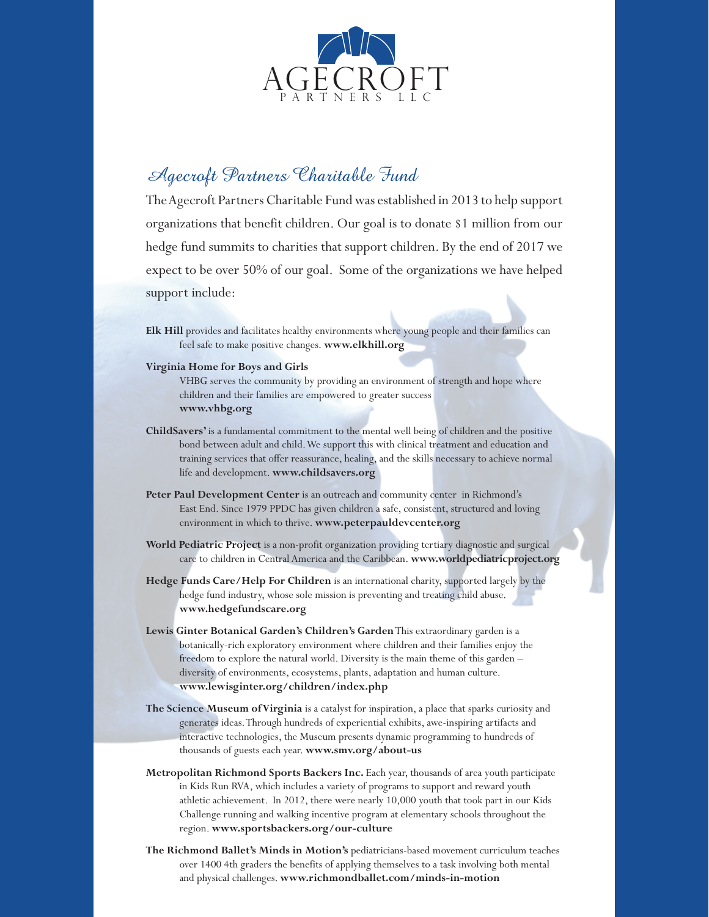

## Agecroft Partners Charitable Fund

The Agecroft Partners Charitable Fund was established in 2013 to help support organizations that benefit children. Our goal is to donate \$1 million from our hedge fund summits to charities that support children. By the end of 2017 we expect to be over 50% of our goal. Some of the organizations we have helped support include:

- **Elk Hill** provides and facilitates healthy environments where young people and their families can feel safe to make positive changes. **www.elkhill.org**
- **Virginia Home for Boys and Girls**
	- VHBG serves the community by providing an environment of strength and hope where children and their families are empowered to greater success **www.vhbg.org**
- **ChildSavers'** is a fundamental commitment to the mental well being of children and the positive bond between adult and child. We support this with clinical treatment and education and training services that offer reassurance, healing, and the skills necessary to achieve normal life and development. **www.childsavers.org**
- Peter Paul Development Center is an outreach and community center in Richmond's East End. Since 1979 PPDC has given children a safe, consistent, structured and loving environment in which to thrive. **www.peterpauldevcenter.org**
- **World Pediatric Project** is a non-profit organization providing tertiary diagnostic and surgical care to children in Central America and the Caribbean. **www.worldpediatricproject.org**
- **Hedge Funds Care/Help For Children** is an international charity, supported largely by the hedge fund industry, whose sole mission is preventing and treating child abuse. **www.hedgefundscare.org**
- **Lewis Ginter Botanical Garden's Children's Garden** This extraordinary garden is a botanically-rich exploratory environment where children and their families enjoy the freedom to explore the natural world. Diversity is the main theme of this garden – diversity of environments, ecosystems, plants, adaptation and human culture. **www.lewisginter.org/children/index.php**
- **The Science Museum of Virginia** is a catalyst for inspiration, a place that sparks curiosity and generates ideas. Through hundreds of experiential exhibits, awe-inspiring artifacts and interactive technologies, the Museum presents dynamic programming to hundreds of thousands of guests each year. **www.smv.org/about-us**
- **Metropolitan Richmond Sports Backers Inc.** Each year, thousands of area youth participate in Kids Run RVA, which includes a variety of programs to support and reward youth athletic achievement. In 2012, there were nearly 10,000 youth that took part in our Kids Challenge running and walking incentive program at elementary schools throughout the region. **www.sportsbackers.org/our-culture**
- **The Richmond Ballet's Minds in Motion's** pediatricians-based movement curriculum teaches over 1400 4th graders the benefits of applying themselves to a task involving both mental and physical challenges. **www.richmondballet.com/minds-in-motion**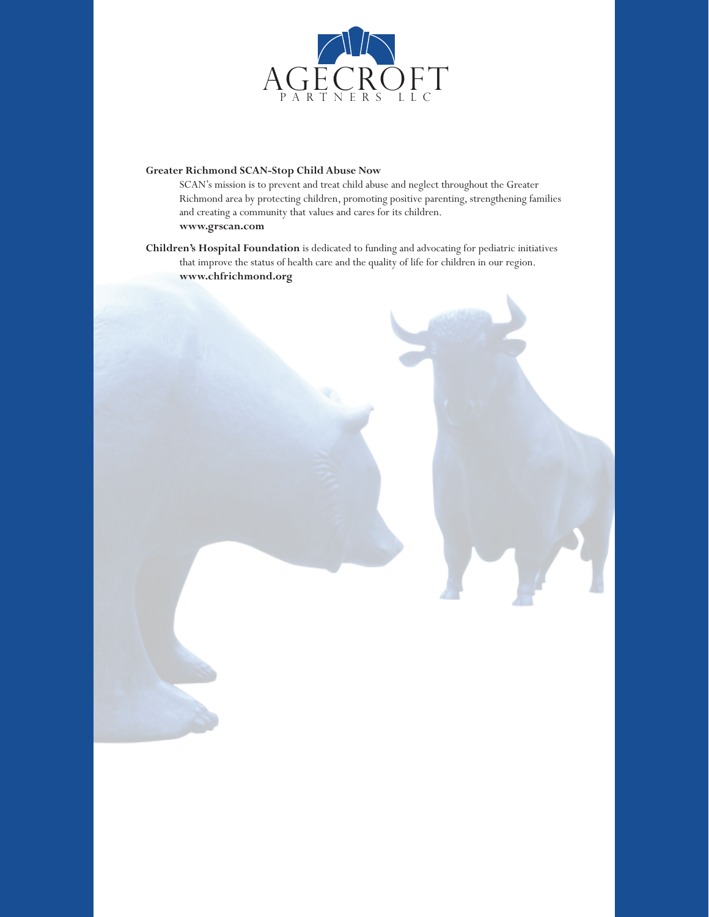

#### **Greater Richmond SCAN-Stop Child Abuse Now**

SCAN's mission is to prevent and treat child abuse and neglect throughout the Greater Richmond area by protecting children, promoting positive parenting, strengthening families and creating a community that values and cares for its children. **www.grscan.com**

**Children's Hospital Foundation** is dedicated to funding and advocating for pediatric initiatives that improve the status of health care and the quality of life for children in our region. **www.chfrichmond.org**

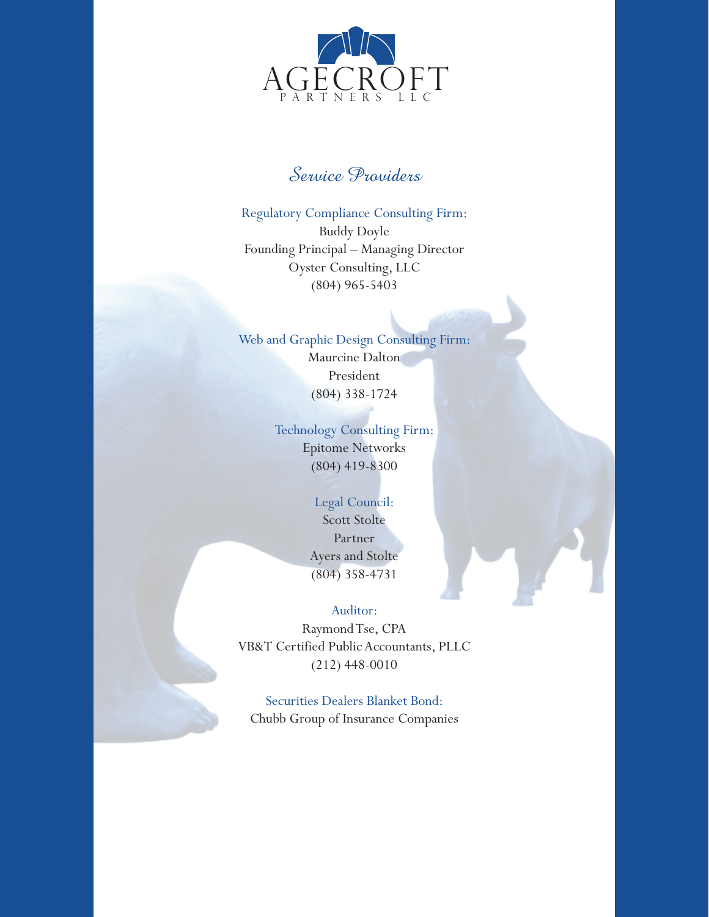

## Service Providers

Regulatory Compliance Consulting Firm: Buddy Doyle Founding Principal – Managing Director Oyster Consulting, LLC (804) 965-5403

## Web and Graphic Design Consulting Firm: Maurcine Dalton

President (804) 338-1724

## Technology Consulting Firm: Epitome Networks (804) 419-8300

## Legal Council: Scott Stolte Partner Ayers and Stolte (804) 358-4731

### Auditor:

Raymond Tse, CPA VB&T Certified Public Accountants, PLLC (212) 448-0010

Securities Dealers Blanket Bond: Chubb Group of Insurance Companies